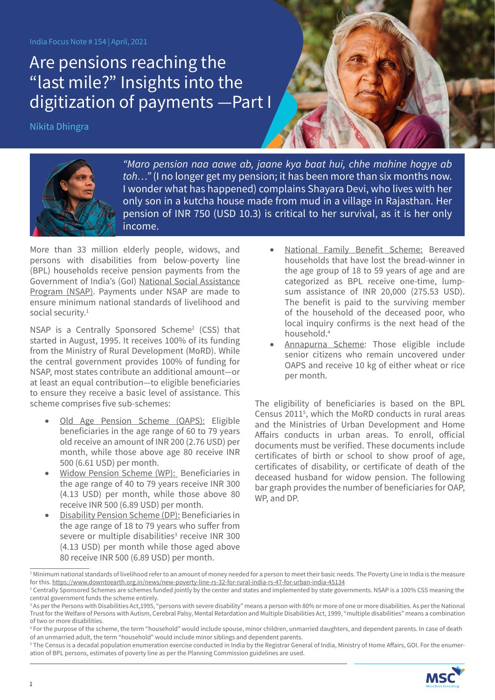India Focus Note # 154 | April, 2021

## Are pensions reaching the "last mile?" Insights into the digitization of payments —Part I

Nikita Dhingra



*"Maro pension naa aawe ab, jaane kya baat hui, chhe mahine hogye ab toh…"* (I no longer get my pension; it has been more than six months now. I wonder what has happened) complains Shayara Devi, who lives with her only son in a kutcha house made from mud in a village in Rajasthan. Her pension of INR 750 (USD 10.3) is critical to her survival, as it is her only income.

More than 33 million elderly people, widows, and persons with disabilities from below-poverty line (BPL) households receive pension payments from the Government of India's (GoI) [National Social Assistance](http://nsap.nic.in/Guidelines/nsap_guidelines_oct2014.pdf)  [Program \(NSAP\).](http://nsap.nic.in/Guidelines/nsap_guidelines_oct2014.pdf) Payments under NSAP are made to ensure minimum national standards of livelihood and social security.<sup>1</sup>

NSAP is a Centrally Sponsored Scheme<sup>2</sup> (CSS) that started in August, 1995. It receives 100% of its funding from the Ministry of Rural Development (MoRD). While the central government provides 100% of funding for NSAP, most states contribute an additional amount—or at least an equal contribution—to eligible beneficiaries to ensure they receive a basic level of assistance. This scheme comprises five sub-schemes:

- [Old Age Pension Scheme \(OAPS\):](https://nsap.nic.in/circular.do?method=aboutus) Eligible beneficiaries in the age range of 60 to 79 years old receive an amount of INR 200 (2.76 USD) per month, while those above age 80 receive INR 500 (6.61 USD) per month.
- [Widow Pension Scheme \(WP\):](https://nsap.nic.in/circular.do?method=aboutus) Beneficiaries in the age range of 40 to 79 years receive INR 300 (4.13 USD) per month, while those above 80 receive INR 500 (6.89 USD) per month.
- [Disability Pension Scheme \(DP\):](https://nsap.nic.in/circular.do?method=aboutus) Beneficiaries in the age range of 18 to 79 years who suffer from severe or multiple disabilities<sup>3</sup> receive INR 300 (4.13 USD) per month while those aged above 80 receive INR 500 (6.89 USD) per month.
- [National Family Benefit Scheme:](https://nsap.nic.in/circular.do?method=aboutus) Bereaved households that have lost the bread-winner in the age group of 18 to 59 years of age and are categorized as BPL receive one-time, lumpsum assistance of INR 20,000 (275.53 USD). The benefit is paid to the surviving member of the household of the deceased poor, who local inquiry confirms is the next head of the household.4
- [Annapurna Scheme](https://nsap.nic.in/circular.do?method=aboutus): Those eligible include senior citizens who remain uncovered under OAPS and receive 10 kg of either wheat or rice per month.

The eligibility of beneficiaries is based on the BPL Census 20115 , which the MoRD conducts in rural areas and the Ministries of Urban Development and Home Affairs conducts in urban areas. To enroll, official documents must be verified. These documents include certificates of birth or school to show proof of age, certificates of disability, or certificate of death of the deceased husband for widow pension. The following bar graph provides the number of beneficiaries for OAP, WP, and DP.

<sup>5</sup> The Census is a decadal population enumeration exercise conducted in India by the Registrar General of India, Ministry of Home Affairs, GOI. For the enumeration of BPL persons, estimates of poverty line as per the Planning Commission guidelines are used.



<sup>1</sup> Minimum national standards of livelihood refer to an amount of money needed for a person to meet their basic needs. The Poverty Line in India is the measure for this. <https://www.downtoearth.org.in/news/new-poverty-line-rs-32-for-rural-india-rs-47-for-urban-india-45134>

<sup>2</sup> Centrally Sponsored Schemes are schemes funded jointly by the center and states and implemented by state governments. NSAP is a 100% CSS meaning the central government funds the scheme entirely.

<sup>3</sup> As per the Persons with Disabilities Act,1995, "persons with severe disability" means a person with 80% or more of one or more disabilities. As per the National Trust for the Welfare of Persons with Autism, Cerebral Palsy, Mental Retardation and Multiple Disabilities Act, 1999, "multiple disabilities" means a combination of two or more disabilities.

<sup>4</sup> For the purpose of the scheme, the term "household" would include spouse, minor children, unmarried daughters, and dependent parents. In case of death of an unmarried adult, the term "household" would include minor siblings and dependent parents.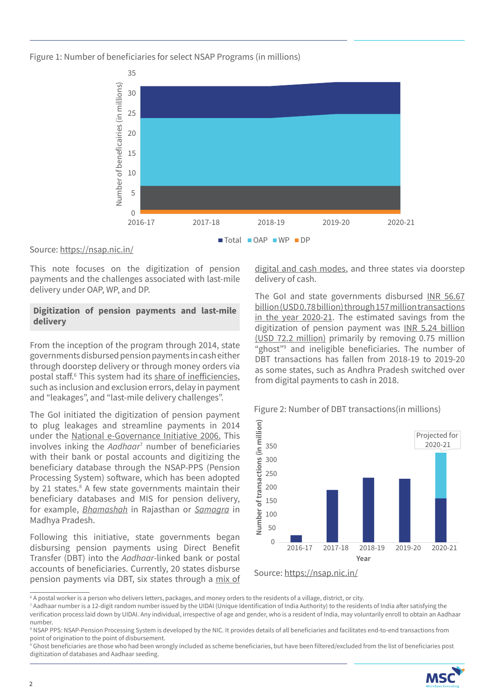Figure 1: Number of beneficiaries for select NSAP Programs (in millions)



## Source:<https://nsap.nic.in/>

This note focuses on the digitization of pension payments and the challenges associated with last-mile delivery under OAP, WP, and DP.

## **Digitization of pension payments and last-mile delivery**

From the inception of the program through 2014, state governments disbursed pension payments in cash either through doorstep delivery or through money orders via postal staff.<sup>6</sup> This system had its [share of inefficiencies](https://www.adb.org/sites/default/files/publication/364566/adbi-wp779.pdf), such as inclusion and exclusion errors, delay in payment and "leakages", and "last-mile delivery challenges".

The GoI initiated the digitization of pension payment to plug leakages and streamline payments in 2014 under the [National e-Governance Initiative 2006](https://meity.gov.in/divisions/national-e-governance-plan). This involves inking the *Aadhaar*<sup>7</sup> number of beneficiaries with their bank or postal accounts and digitizing the beneficiary database through the NSAP-PPS (Pension Processing System) software, which has been adopted by 21 states.<sup>8</sup> A few state governments maintain their beneficiary databases and MIS for pension delivery, for example, *[Bhamashah](http://plan.rajasthan.gov.in/content/planning-portal/en/des/about-us/profile-department-division/Bhamashah.html)* in Rajasthan or *[Samagra](https://translate.google.com/translate?hl=en&sl=hi&u=http://samagra.gov.in/&prev=search)* in Madhya Pradesh.

Following this initiative, state governments began disbursing pension payments using Direct Benefit Transfer (DBT) into the *Aadhaar*-linked bank or postal accounts of beneficiaries. Currently, 20 states disburse pension payments via DBT, six states through a [mix of](https://rural.nic.in/sites/default/files/Overview%20of%20NSAP.pdf) 

[digital and cash mode](https://rural.nic.in/sites/default/files/Overview%20of%20NSAP.pdf)s, and three states via doorstep delivery of cash.

The GoI and state governments disbursed [INR 56.67](https://dbtbharat.gov.in/reportnew/scheme-group-report) [billion \(USD 0.78 billion\) through 157 million transactions](https://dbtbharat.gov.in/reportnew/scheme-group-report) [in the year 2020-21.](https://dbtbharat.gov.in/reportnew/scheme-group-report) The estimated savings from the digitization of pension payment was [INR 5.24 billion](https://dbtbharat.gov.in/estimatedgain) [\(USD 72.2 million\) primarily by removing 0.75 million](https://dbtbharat.gov.in/estimatedgain) "ghost"9 and ineligible beneficiaries. The number of DBT transactions has fallen from 2018-19 to 2019-20 as some states, such as Andhra Pradesh switched over from digital payments to cash in 2018.



## Figure 2: Number of DBT transactions(in millions)

<sup>&</sup>lt;sup>9</sup> Ghost beneficiaries are those who had been wrongly included as scheme beneficiaries, but have been filtered/excluded from the list of beneficiaries post digitization of databases and Aadhaar seeding.



<sup>6</sup> A postal worker is a person who delivers letters, packages, and money orders to the residents of a village, district, or city.

<sup>&</sup>lt;sup>7</sup> Aadhaar number is a 12-digit random number issued by the UIDAI (Unique Identification of India Authority) to the residents of India after satisfying the verification process laid down by UIDAI. Any individual, irrespective of age and gender, who is a resident of India, may voluntarily enroll to obtain an Aadhaar number.

<sup>8</sup> NSAP PPS: NSAP-Pension Processing System is developed by the NIC. It provides details of all beneficiaries and facilitates end-to-end transactions from point of origination to the point of disbursement.